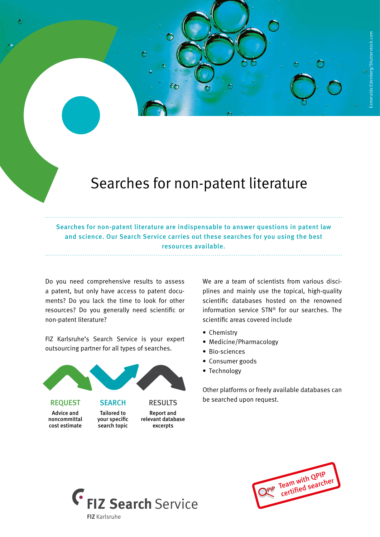## Searches for non-patent literature

Searches for non-patent literature are indispensable to answer questions in patent law and science. Our Search Service carries out these searches for you using the best resources available.

Do you need comprehensive results to assess a patent, but only have access to patent documents? Do you lack the time to look for other resources? Do you generally need scientific or non-patent literature?

FIZ Karlsruhe's Search Service is your expert outsourcing partner for all types of searches.



We are a team of scientists from various disciplines and mainly use the topical, high-quality scientific databases hosted on the renowned information service STN® for our searches. The scientific areas covered include

Ó

- Chemistry
- Medicine/Pharmacology
- Bio-sciences
- Consumer goods
- Technology

Other platforms or freely available databases can be searched upon request.